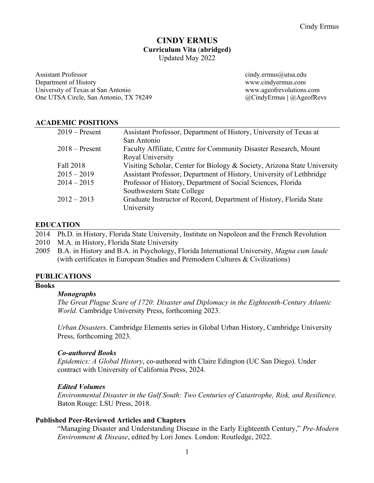# **CINDY ERMUS Curriculum Vita** (**abridged)** Updated May 2022

Assistant Professor cindy.ermus@utsa.edu Department of History www.cindyermus.com University of Texas at San Antonio www.ageofrevolutions.com One UTSA Circle, San Antonio, TX 78249 @CindyErmus **|** @AgeofRevs

## **ACADEMIC POSITIONS**

| Assistant Professor, Department of History, University of Texas at       |
|--------------------------------------------------------------------------|
| San Antonio                                                              |
| Faculty Affiliate, Centre for Community Disaster Research, Mount         |
| Royal University                                                         |
| Visiting Scholar, Center for Biology & Society, Arizona State University |
| Assistant Professor, Department of History, University of Lethbridge     |
| Professor of History, Department of Social Sciences, Florida             |
| Southwestern State College                                               |
| Graduate Instructor of Record, Department of History, Florida State      |
| University                                                               |
|                                                                          |

## **EDUCATION**

2014 Ph.D. in History, Florida State University, Institute on Napoleon and the French Revolution

- 2010 M.A. in History, Florida State University
- 2005 B.A. in History and B.A. in Psychology, Florida International University, *Magna cum laude* (with certificates in European Studies and Premodern Cultures & Civilizations)

## **PUBLICATIONS**

## **Books**

## *Monographs*

*The Great Plague Scare of 1720: Disaster and Diplomacy in the Eighteenth-Century Atlantic World.* Cambridge University Press, forthcoming 2023.

*Urban Disasters*. Cambridge Elements series in Global Urban History, Cambridge University Press, forthcoming 2023.

## *Co-authored Books*

*Epidemics: A Global History*, co-authored with Claire Edington (UC San Diego). Under contract with University of California Press, 2024.

## *Edited Volumes*

*Environmental Disaster in the Gulf South: Two Centuries of Catastrophe, Risk, and Resilience.*  Baton Rouge: LSU Press, 2018.

## **Published Peer-Reviewed Articles and Chapters**

"Managing Disaster and Understanding Disease in the Early Eighteenth Century," *Pre-Modern Environment & Disease*, edited by Lori Jones. London: Routledge, 2022.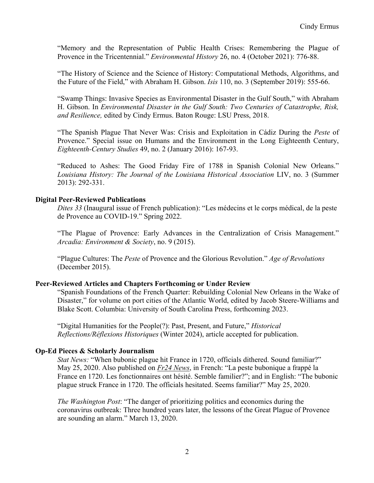"Memory and the Representation of Public Health Crises: Remembering the Plague of Provence in the Tricentennial." *Environmental History* 26, no. 4 (October 2021): 776-88.

"The History of Science and the Science of History: Computational Methods, Algorithms, and the Future of the Field," with Abraham H. Gibson. *Isis* 110, no. 3 (September 2019): 555-66.

"Swamp Things: Invasive Species as Environmental Disaster in the Gulf South," with Abraham H. Gibson. In *Environmental Disaster in the Gulf South: Two Centuries of Catastrophe, Risk, and Resilience,* edited by Cindy Ermus. Baton Rouge: LSU Press, 2018.

"The Spanish Plague That Never Was: Crisis and Exploitation in Cádiz During the *Peste* of Provence." Special issue on Humans and the Environment in the Long Eighteenth Century, *Eighteenth-Century Studies* 49, no. 2 (January 2016): 167-93.

"Reduced to Ashes: The Good Friday Fire of 1788 in Spanish Colonial New Orleans." *Louisiana History: The Journal of the Louisiana Historical Association* LIV, no. 3 (Summer 2013): 292-331.

## **Digital Peer-Reviewed Publications**

*Dites 33* (Inaugural issue of French publication): "Les médecins et le corps médical, de la peste de Provence au COVID-19." Spring 2022.

"The Plague of Provence: Early Advances in the Centralization of Crisis Management." *Arcadia: Environment & Society*, no. 9 (2015).

"Plague Cultures: The *Peste* of Provence and the Glorious Revolution." *Age of Revolutions* (December 2015).

## **Peer-Reviewed Articles and Chapters Forthcoming or Under Review**

"Spanish Foundations of the French Quarter: Rebuilding Colonial New Orleans in the Wake of Disaster," for volume on port cities of the Atlantic World, edited by Jacob Steere-Williams and Blake Scott. Columbia: University of South Carolina Press, forthcoming 2023.

"Digital Humanities for the People(?): Past, Present, and Future," *Historical Reflections/Réflexions Historiques* (Winter 2024), article accepted for publication.

## **Op-Ed Pieces & Scholarly Journalism**

*Stat News:* "When bubonic plague hit France in 1720, officials dithered. Sound familiar?" May 25, 2020. Also published on *Fr24 News*, in French: "La peste bubonique a frappé la France en 1720. Les fonctionnaires ont hésité. Semble familier?"; and in English: "The bubonic plague struck France in 1720. The officials hesitated. Seems familiar?" May 25, 2020.

*The Washington Post*: "The danger of prioritizing politics and economics during the coronavirus outbreak: Three hundred years later, the lessons of the Great Plague of Provence are sounding an alarm." March 13, 2020.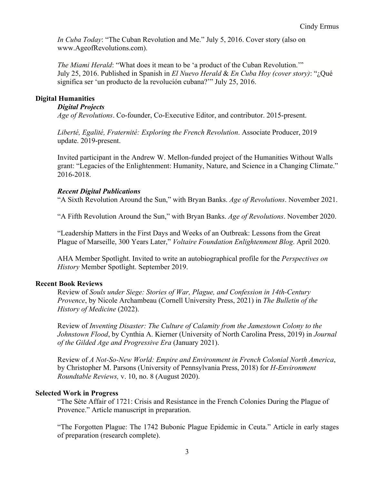*In Cuba Today*: "The Cuban Revolution and Me." July 5, 2016. Cover story (also on www.AgeofRevolutions.com).

*The Miami Herald*: "What does it mean to be 'a product of the Cuban Revolution.'" July 25, 2016. Published in Spanish in *El Nuevo Herald* & *En Cuba Hoy (cover story)*: "¿Qué significa ser 'un producto de la revolución cubana?'" July 25, 2016.

## **Digital Humanities**

## *Digital Projects*

*Age of Revolutions*. Co-founder, Co-Executive Editor, and contributor. 2015-present.

*Liberté, Egalité, Fraternité: Exploring the French Revolution*. Associate Producer, 2019 update. 2019-present.

Invited participant in the Andrew W. Mellon-funded project of the Humanities Without Walls grant: "Legacies of the Enlightenment: Humanity, Nature, and Science in a Changing Climate." 2016-2018.

## *Recent Digital Publications*

"A Sixth Revolution Around the Sun," with Bryan Banks. *Age of Revolutions*. November 2021.

"A Fifth Revolution Around the Sun," with Bryan Banks. *Age of Revolutions*. November 2020.

"Leadership Matters in the First Days and Weeks of an Outbreak: Lessons from the Great Plague of Marseille, 300 Years Later," *Voltaire Foundation Enlightenment Blog*. April 2020.

AHA Member Spotlight. Invited to write an autobiographical profile for the *Perspectives on History* Member Spotlight. September 2019.

## **Recent Book Reviews**

Review of *Souls under Siege: Stories of War, Plague, and Confession in 14th-Century Provence*, by Nicole Archambeau (Cornell University Press, 2021) in *The Bulletin of the History of Medicine* (2022).

Review of *Inventing Disaster: The Culture of Calamity from the Jamestown Colony to the Johnstown Flood*, by Cynthia A. Kierner (University of North Carolina Press, 2019) in *Journal of the Gilded Age and Progressive Era* (January 2021).

Review of *A Not-So-New World: Empire and Environment in French Colonial North America*, by Christopher M. Parsons (University of Pennsylvania Press, 2018) for *H-Environment Roundtable Reviews,* v. 10, no. 8 (August 2020).

## **Selected Work in Progress**

"The Sète Affair of 1721: Crisis and Resistance in the French Colonies During the Plague of Provence." Article manuscript in preparation.

"The Forgotten Plague: The 1742 Bubonic Plague Epidemic in Ceuta." Article in early stages of preparation (research complete).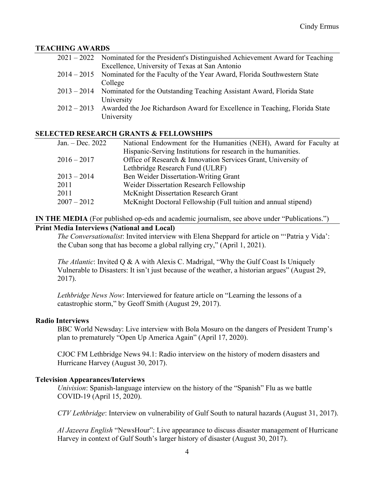## **TEACHING AWARDS**

| 2021 – 2022 Nominated for the President's Distinguished Achievement Award for Teaching   |
|------------------------------------------------------------------------------------------|
| Excellence, University of Texas at San Antonio                                           |
| 2014 – 2015 Nominated for the Faculty of the Year Award, Florida Southwestern State      |
| College                                                                                  |
| 2013 – 2014 Nominated for the Outstanding Teaching Assistant Award, Florida State        |
| University                                                                               |
| $2012 - 2013$ Awarded the Joe Richardson Award for Excellence in Teaching, Florida State |
| University                                                                               |
|                                                                                          |

## **SELECTED RESEARCH GRANTS & FELLOWSHIPS**

| National Endowment for the Humanities (NEH), Award for Faculty at |
|-------------------------------------------------------------------|
| Hispanic-Serving Institutions for research in the humanities.     |
| Office of Research & Innovation Services Grant, University of     |
| Lethbridge Research Fund (ULRF)                                   |
| Ben Weider Dissertation-Writing Grant                             |
| Weider Dissertation Research Fellowship                           |
| McKnight Dissertation Research Grant                              |
| McKnight Doctoral Fellowship (Full tuition and annual stipend)    |
|                                                                   |

## **IN THE MEDIA** (For published op-eds and academic journalism, see above under "Publications.") **Print Media Interviews (National and Local)**

# *The Conversationalist*: Invited interview with Elena Sheppard for article on "'Patria y Vida': the Cuban song that has become a global rallying cry," (April 1, 2021).

*The Atlantic*: Invited Q & A with Alexis C. Madrigal, "Why the Gulf Coast Is Uniquely Vulnerable to Disasters: It isn't just because of the weather, a historian argues" (August 29, 2017).

*Lethbridge News Now*: Interviewed for feature article on "Learning the lessons of a catastrophic storm," by Geoff Smith (August 29, 2017).

## **Radio Interviews**

BBC World Newsday: Live interview with Bola Mosuro on the dangers of President Trump's plan to prematurely "Open Up America Again" (April 17, 2020).

CJOC FM Lethbridge News 94.1: Radio interview on the history of modern disasters and Hurricane Harvey (August 30, 2017).

## **Television Appearances/Interviews**

*Univision*: Spanish-language interview on the history of the "Spanish" Flu as we battle COVID-19 (April 15, 2020).

*CTV Lethbridge*: Interview on vulnerability of Gulf South to natural hazards (August 31, 2017).

*Al Jazeera English* "NewsHour": Live appearance to discuss disaster management of Hurricane Harvey in context of Gulf South's larger history of disaster (August 30, 2017).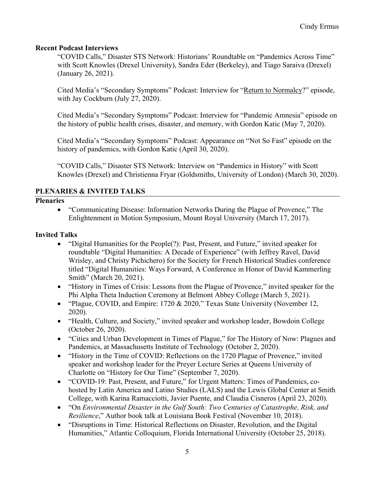## **Recent Podcast Interviews**

"COVID Calls," Disaster STS Network: Historians' Roundtable on "Pandemics Across Time" with Scott Knowles (Drexel University), Sandra Eder (Berkeley), and Tiago Saraiva (Drexel) (January 26, 2021).

Cited Media's "Secondary Symptoms" Podcast: Interview for "Return to Normalcy?" episode, with Jay Cockburn (July 27, 2020).

Cited Media's "Secondary Symptoms" Podcast: Interview for "Pandemic Amnesia" episode on the history of public health crises, disaster, and memory, with Gordon Katic (May 7, 2020).

Cited Media's "Secondary Symptoms" Podcast: Appearance on "Not So Fast" episode on the history of pandemics, with Gordon Katic (April 30, 2020).

"COVID Calls," Disaster STS Network: Interview on "Pandemics in History" with Scott Knowles (Drexel) and Christienna Fryar (Goldsmiths, University of London) (March 30, 2020).

## **PLENARIES & INVITED TALKS**

## **Plenaries**

• "Communicating Disease: Information Networks During the Plague of Provence," The Enlightenment in Motion Symposium, Mount Royal University (March 17, 2017).

## **Invited Talks**

- "Digital Humanities for the People(?): Past, Present, and Future," invited speaker for roundtable "Digital Humanities: A Decade of Experience" (with Jeffrey Ravel, David Wrisley, and Christy Pichichero) for the Society for French Historical Studies conference titled "Digital Humanities: Ways Forward, A Conference in Honor of David Kammerling Smith" (March 20, 2021).
- "History in Times of Crisis: Lessons from the Plague of Provence," invited speaker for the Phi Alpha Theta Induction Ceremony at Belmont Abbey College (March 5, 2021).
- "Plague, COVID, and Empire: 1720 & 2020," Texas State University (November 12, 2020).
- "Health, Culture, and Society," invited speaker and workshop leader, Bowdoin College (October 26, 2020).
- "Cities and Urban Development in Times of Plague," for The History of Now: Plagues and Pandemics, at Massachusetts Institute of Technology (October 2, 2020).
- "History in the Time of COVID: Reflections on the 1720 Plague of Provence," invited speaker and workshop leader for the Preyer Lecture Series at Queens University of Charlotte on "History for Our Time" (September 7, 2020).
- "COVID-19: Past, Present, and Future," for Urgent Matters: Times of Pandemics, cohosted by Latin America and Latino Studies (LALS) and the Lewis Global Center at Smith College, with Karina Ramacciotti, Javier Puente, and Claudia Cisneros (April 23, 2020).
- "On *Environmental Disaster in the Gulf South: Two Centuries of Catastrophe, Risk, and Resilience*," Author book talk at Louisiana Book Festival (November 10, 2018).
- "Disruptions in Time: Historical Reflections on Disaster, Revolution, and the Digital Humanities," Atlantic Colloquium, Florida International University (October 25, 2018).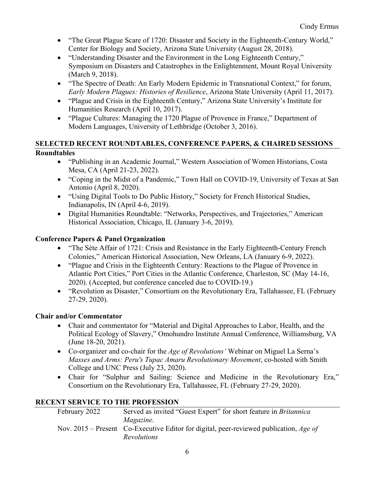- "The Great Plague Scare of 1720: Disaster and Society in the Eighteenth-Century World," Center for Biology and Society, Arizona State University (August 28, 2018).
- "Understanding Disaster and the Environment in the Long Eighteenth Century," Symposium on Disasters and Catastrophes in the Enlightenment, Mount Royal University (March 9, 2018).
- "The Spectre of Death: An Early Modern Epidemic in Transnational Context," for forum, *Early Modern Plagues: Histories of Resilience*, Arizona State University (April 11, 2017).
- "Plague and Crisis in the Eighteenth Century," Arizona State University's Institute for Humanities Research (April 10, 2017).
- "Plague Cultures: Managing the 1720 Plague of Provence in France," Department of Modern Languages, University of Lethbridge (October 3, 2016).

# **SELECTED RECENT ROUNDTABLES, CONFERENCE PAPERS, & CHAIRED SESSIONS Roundtables**

- "Publishing in an Academic Journal," Western Association of Women Historians, Costa Mesa, CA (April 21-23, 2022).
- "Coping in the Midst of a Pandemic," Town Hall on COVID-19, University of Texas at San Antonio (April 8, 2020).
- "Using Digital Tools to Do Public History," Society for French Historical Studies, Indianapolis, IN (April 4-6, 2019).
- Digital Humanities Roundtable: "Networks, Perspectives, and Trajectories," American Historical Association, Chicago, IL (January 3-6, 2019).

# **Conference Papers & Panel Organization**

- "The Sète Affair of 1721: Crisis and Resistance in the Early Eighteenth-Century French Colonies," American Historical Association, New Orleans, LA (January 6-9, 2022).
- "Plague and Crisis in the Eighteenth Century: Reactions to the Plague of Provence in Atlantic Port Cities," Port Cities in the Atlantic Conference, Charleston, SC (May 14-16, 2020). (Accepted, but conference canceled due to COVID-19.)
- "Revolution as Disaster," Consortium on the Revolutionary Era, Tallahassee, FL (February 27-29, 2020).

# **Chair and/or Commentator**

- Chair and commentator for "Material and Digital Approaches to Labor, Health, and the Political Ecology of Slavery," Omohundro Institute Annual Conference, Williamsburg, VA (June 18-20, 2021).
- Co-organizer and co-chair for the *Age of Revolutions'* Webinar on Miguel La Serna's *Masses and Arms: Peru's Tupac Amaru Revolutionary Movement*, co-hosted with Smith College and UNC Press (July 23, 2020).
- Chair for "Sulphur and Sailing: Science and Medicine in the Revolutionary Era," Consortium on the Revolutionary Era, Tallahassee, FL (February 27-29, 2020).

# **RECENT SERVICE TO THE PROFESSION**

| February 2022 | Served as invited "Guest Expert" for short feature in <i>Britannica</i>                |
|---------------|----------------------------------------------------------------------------------------|
|               | <i>Magazine.</i>                                                                       |
|               | Nov. 2015 – Present Co-Executive Editor for digital, peer-reviewed publication, Age of |
|               | <i>Revolutions</i>                                                                     |